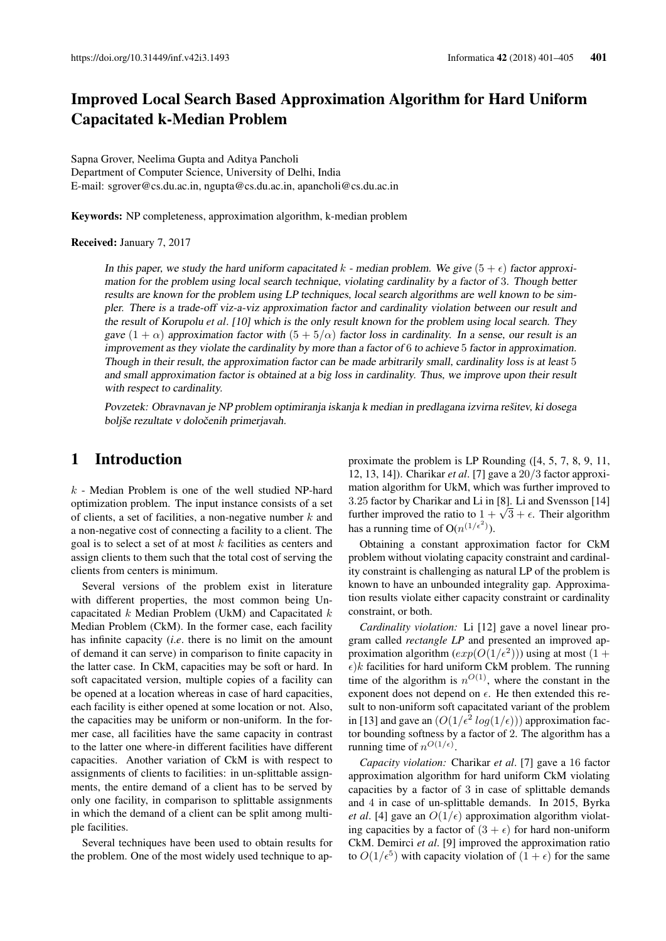# Improved Local Search Based Approximation Algorithm for Hard Uniform Capacitated k-Median Problem

Sapna Grover, Neelima Gupta and Aditya Pancholi Department of Computer Science, University of Delhi, India E-mail: sgrover@cs.du.ac.in, ngupta@cs.du.ac.in, apancholi@cs.du.ac.in

Keywords: NP completeness, approximation algorithm, k-median problem

#### Received: January 7, 2017

In this paper, we study the hard uniform capacitated k - median problem. We give  $(5 + \epsilon)$  factor approximation for the problem using local search technique, violating cardinality by a factor of 3. Though better results are known for the problem using LP techniques, local search algorithms are well known to be simpler. There is a trade-off viz-a-viz approximation factor and cardinality violation between our result and the result of Korupolu *et al*. [10] which is the only result known for the problem using local search. They gave  $(1 + \alpha)$  approximation factor with  $(5 + 5/\alpha)$  factor loss in cardinality. In a sense, our result is an improvement as they violate the cardinality by more than a factor of 6 to achieve 5 factor in approximation. Though in their result, the approximation factor can be made arbitrarily small, cardinality loss is at least 5 and small approximation factor is obtained at a big loss in cardinality. Thus, we improve upon their result with respect to cardinality.

Povzetek: Obravnavan je NP problem optimiranja iskanja k median in predlagana izvirna rešitev, ki dosega boljše rezultate v določenih primerjavah.

# 1 Introduction

 $k$  - Median Problem is one of the well studied NP-hard optimization problem. The input instance consists of a set of clients, a set of facilities, a non-negative number  $k$  and a non-negative cost of connecting a facility to a client. The goal is to select a set of at most  $k$  facilities as centers and assign clients to them such that the total cost of serving the clients from centers is minimum.

Several versions of the problem exist in literature with different properties, the most common being Uncapacitated  $k$  Median Problem (UkM) and Capacitated  $k$ Median Problem (CkM). In the former case, each facility has infinite capacity (*i*.*e*. there is no limit on the amount of demand it can serve) in comparison to finite capacity in the latter case. In CkM, capacities may be soft or hard. In soft capacitated version, multiple copies of a facility can be opened at a location whereas in case of hard capacities, each facility is either opened at some location or not. Also, the capacities may be uniform or non-uniform. In the former case, all facilities have the same capacity in contrast to the latter one where-in different facilities have different capacities. Another variation of CkM is with respect to assignments of clients to facilities: in un-splittable assignments, the entire demand of a client has to be served by only one facility, in comparison to splittable assignments in which the demand of a client can be split among multiple facilities.

Several techniques have been used to obtain results for the problem. One of the most widely used technique to approximate the problem is LP Rounding ([4, 5, 7, 8, 9, 11, 12, 13, 14]). Charikar *et al*. [7] gave a 20/3 factor approximation algorithm for UkM, which was further improved to 3.25 factor by Charikar and Li in [8]. Li and Svensson [14] 3.25 factor by Charikar and Li in [8]. Li and Svensson [14]<br>further improved the ratio to  $1 + \sqrt{3} + \epsilon$ . Their algorithm has a running time of  $O(n^{(1/\epsilon^2)})$ .

Obtaining a constant approximation factor for CkM problem without violating capacity constraint and cardinality constraint is challenging as natural LP of the problem is known to have an unbounded integrality gap. Approximation results violate either capacity constraint or cardinality constraint, or both.

*Cardinality violation:* Li [12] gave a novel linear program called *rectangle LP* and presented an improved approximation algorithm  $(exp(O(1/\epsilon^2)))$  using at most  $(1 +$  $\epsilon$ )k facilities for hard uniform CkM problem. The running time of the algorithm is  $n^{O(1)}$ , where the constant in the exponent does not depend on  $\epsilon$ . He then extended this result to non-uniform soft capacitated variant of the problem in [13] and gave an  $(O(1/\epsilon^2 log(1/\epsilon)))$  approximation factor bounding softness by a factor of 2. The algorithm has a running time of  $n^{O(1/\epsilon)}$ .

*Capacity violation:* Charikar *et al*. [7] gave a 16 factor approximation algorithm for hard uniform CkM violating capacities by a factor of 3 in case of splittable demands and 4 in case of un-splittable demands. In 2015, Byrka *et al.* [4] gave an  $O(1/\epsilon)$  approximation algorithm violating capacities by a factor of  $(3 + \epsilon)$  for hard non-uniform CkM. Demirci *et al*. [9] improved the approximation ratio to  $O(1/\epsilon^5)$  with capacity violation of  $(1 + \epsilon)$  for the same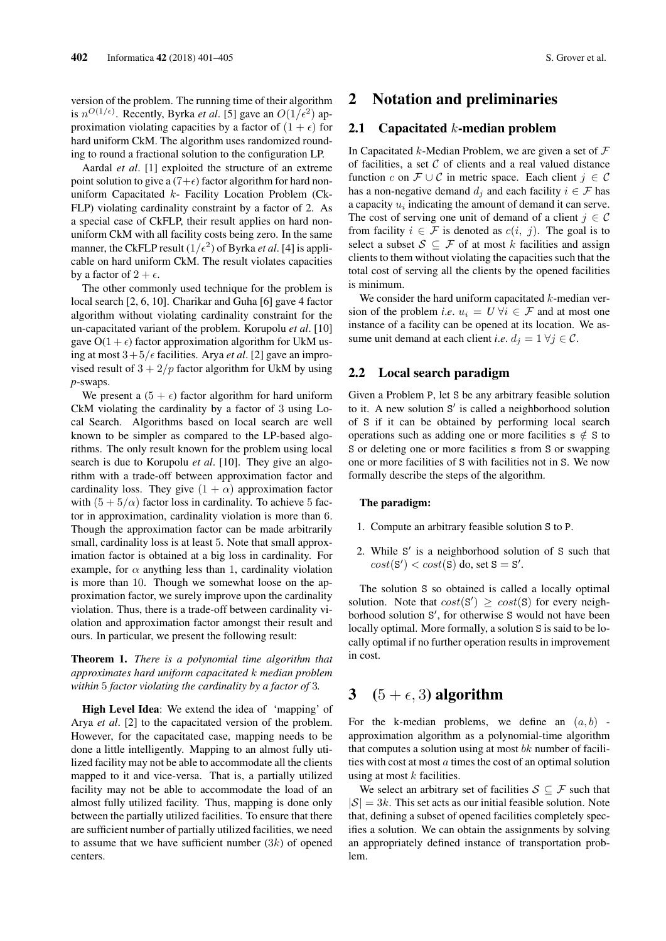version of the problem. The running time of their algorithm is  $n^{O(1/\epsilon)}$ . Recently, Byrka *et al*. [5] gave an  $O(1/\epsilon^2)$  approximation violating capacities by a factor of  $(1 + \epsilon)$  for hard uniform CkM. The algorithm uses randomized rounding to round a fractional solution to the configuration LP.

Aardal *et al*. [1] exploited the structure of an extreme point solution to give a  $(7+\epsilon)$  factor algorithm for hard nonuniform Capacitated  $k$ - Facility Location Problem (Ck-FLP) violating cardinality constraint by a factor of 2. As a special case of CkFLP, their result applies on hard nonuniform CkM with all facility costs being zero. In the same manner, the CkFLP result  $(1/\epsilon^2)$  of Byrka *et al*. [4] is applicable on hard uniform CkM. The result violates capacities by a factor of  $2 + \epsilon$ .

The other commonly used technique for the problem is local search [2, 6, 10]. Charikar and Guha [6] gave 4 factor algorithm without violating cardinality constraint for the un-capacitated variant of the problem. Korupolu *et al*. [10] gave  $O(1 + \epsilon)$  factor approximation algorithm for UkM using at most  $3+5/$  facilities. Arya *et al*. [2] gave an improvised result of  $3 + 2/p$  factor algorithm for UkM by using *p*-swaps.

We present a  $(5 + \epsilon)$  factor algorithm for hard uniform CkM violating the cardinality by a factor of 3 using Local Search. Algorithms based on local search are well known to be simpler as compared to the LP-based algorithms. The only result known for the problem using local search is due to Korupolu *et al*. [10]. They give an algorithm with a trade-off between approximation factor and cardinality loss. They give  $(1 + \alpha)$  approximation factor with  $(5 + 5/\alpha)$  factor loss in cardinality. To achieve 5 factor in approximation, cardinality violation is more than 6. Though the approximation factor can be made arbitrarily small, cardinality loss is at least 5. Note that small approximation factor is obtained at a big loss in cardinality. For example, for  $\alpha$  anything less than 1, cardinality violation is more than 10. Though we somewhat loose on the approximation factor, we surely improve upon the cardinality violation. Thus, there is a trade-off between cardinality violation and approximation factor amongst their result and ours. In particular, we present the following result:

### Theorem 1. *There is a polynomial time algorithm that approximates hard uniform capacitated* k *median problem within* 5 *factor violating the cardinality by a factor of* 3*.*

High Level Idea: We extend the idea of 'mapping' of Arya *et al*. [2] to the capacitated version of the problem. However, for the capacitated case, mapping needs to be done a little intelligently. Mapping to an almost fully utilized facility may not be able to accommodate all the clients mapped to it and vice-versa. That is, a partially utilized facility may not be able to accommodate the load of an almost fully utilized facility. Thus, mapping is done only between the partially utilized facilities. To ensure that there are sufficient number of partially utilized facilities, we need to assume that we have sufficient number  $(3k)$  of opened centers.

## 2 Notation and preliminaries

#### 2.1 Capacitated  $k$ -median problem

In Capacitated k-Median Problem, we are given a set of  $\mathcal F$ of facilities, a set  $C$  of clients and a real valued distance function c on  $\mathcal{F} \cup \mathcal{C}$  in metric space. Each client  $j \in \mathcal{C}$ has a non-negative demand  $d_i$  and each facility  $i \in \mathcal{F}$  has a capacity  $u_i$  indicating the amount of demand it can serve. The cost of serving one unit of demand of a client  $j \in \mathcal{C}$ from facility  $i \in \mathcal{F}$  is denoted as  $c(i, j)$ . The goal is to select a subset  $S \subseteq \mathcal{F}$  of at most k facilities and assign clients to them without violating the capacities such that the total cost of serving all the clients by the opened facilities is minimum.

We consider the hard uniform capacitated  $k$ -median version of the problem *i.e.*  $u_i = U \,\forall i \in \mathcal{F}$  and at most one instance of a facility can be opened at its location. We assume unit demand at each client *i.e.*  $d_i = 1 \ \forall j \in \mathcal{C}$ .

### 2.2 Local search paradigm

Given a Problem P, let S be any arbitrary feasible solution to it. A new solution S' is called a neighborhood solution of S if it can be obtained by performing local search operations such as adding one or more facilities  $s \notin S$  to S or deleting one or more facilities s from S or swapping one or more facilities of S with facilities not in S. We now formally describe the steps of the algorithm.

#### The paradigm:

- 1. Compute an arbitrary feasible solution S to P.
- 2. While S' is a neighborhood solution of S such that  $cost(S') < cost(S)$  do, set  $S = S'$ .

The solution S so obtained is called a locally optimal solution. Note that  $cost(S') \ge cost(S)$  for every neighborhood solution S', for otherwise S would not have been locally optimal. More formally, a solution S is said to be locally optimal if no further operation results in improvement in cost.

# 3  $(5 + \epsilon, 3)$  algorithm

For the k-median problems, we define an  $(a, b)$  approximation algorithm as a polynomial-time algorithm that computes a solution using at most  $bk$  number of facilities with cost at most  $a$  times the cost of an optimal solution using at most  $k$  facilities.

We select an arbitrary set of facilities  $S \subseteq \mathcal{F}$  such that  $|S| = 3k$ . This set acts as our initial feasible solution. Note that, defining a subset of opened facilities completely specifies a solution. We can obtain the assignments by solving an appropriately defined instance of transportation problem.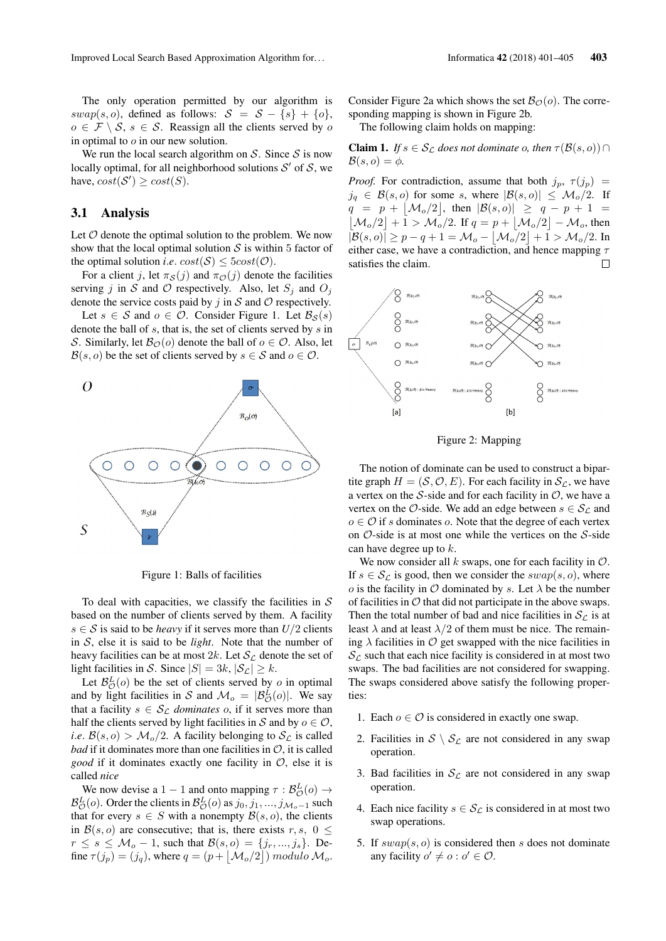The only operation permitted by our algorithm is swap(s, o), defined as follows:  $S = S - \{s\} + \{o\},\$  $o \in \mathcal{F} \setminus \mathcal{S}, s \in \mathcal{S}$ . Reassign all the clients served by o in optimal to  $o$  in our new solution.

We run the local search algorithm on  $S$ . Since  $S$  is now locally optimal, for all neighborhood solutions  $S'$  of  $S$ , we have,  $cost(S') \ge cost(S)$ .

### 3.1 Analysis

Let  $\mathcal O$  denote the optimal solution to the problem. We now show that the local optimal solution  $S$  is within 5 factor of the optimal solution *i.e.*  $cost(S) \leq 5cost(O)$ .

For a client j, let  $\pi_{\mathcal{S}}(j)$  and  $\pi_{\mathcal{O}}(j)$  denote the facilities serving j in S and O respectively. Also, let  $S_i$  and  $O_i$ denote the service costs paid by  $j$  in  $S$  and  $O$  respectively.

Let  $s \in S$  and  $o \in \mathcal{O}$ . Consider Figure 1. Let  $\mathcal{B}_{S}(s)$ denote the ball of s, that is, the set of clients served by s in S. Similarly, let  $\mathcal{B}_{\mathcal{O}}(o)$  denote the ball of  $o \in \mathcal{O}$ . Also, let  $\mathcal{B}(s, o)$  be the set of clients served by  $s \in \mathcal{S}$  and  $o \in \mathcal{O}$ .



Figure 1: Balls of facilities

To deal with capacities, we classify the facilities in  $S$ based on the number of clients served by them. A facility  $s \in S$  is said to be *heavy* if it serves more than  $U/2$  clients in S, else it is said to be *light*. Note that the number of heavy facilities can be at most 2k. Let  $S_{\mathcal{L}}$  denote the set of light facilities in S. Since  $|S| = 3k$ ,  $|S_{\mathcal{L}}| \geq k$ .

Let  $\mathcal{B}_{\mathcal{O}}^{L}(o)$  be the set of clients served by o in optimal and by light facilities in S and  $\mathcal{M}_o = |\mathcal{B}_{\mathcal{O}}^L(o)|$ . We say that a facility  $s \in S_{\mathcal{L}}$  *dominates* o, if it serves more than half the clients served by light facilities in S and by  $o \in \mathcal{O}$ , *i.e.*  $\mathcal{B}(s, o) > \mathcal{M}_o/2$ . A facility belonging to  $\mathcal{S}_c$  is called *bad* if it dominates more than one facilities in  $\mathcal{O}$ , it is called *good* if it dominates exactly one facility in O, else it is called *nice*

We now devise a 1 – 1 and onto mapping  $\tau : \mathcal{B}_{\mathcal{O}}^{L}(o) \rightarrow$  $\mathcal{B}_{\mathcal{O}}^{L}(o)$ . Order the clients in  $\mathcal{B}_{\mathcal{O}}^{L}(o)$  as  $j_0, j_1, ..., j_{\mathcal{M}_o-1}$  such that for every  $s \in S$  with a nonempty  $\mathcal{B}(s, o)$ , the clients in  $\mathcal{B}(s, o)$  are consecutive; that is, there exists r, s, 0 <  $r \leq s \leq \mathcal{M}_o - 1$ , such that  $\mathcal{B}(s, o) = \{j_r, ..., j_s\}$ . Define  $\tau(j_p) = (j_q)$ , where  $q = (p + |\mathcal{M}_o/2|)$  modulo  $\mathcal{M}_o$ .

Consider Figure 2a which shows the set  $\mathcal{B}_{\mathcal{O}}(o)$ . The corresponding mapping is shown in Figure 2b.

The following claim holds on mapping:

**Claim 1.** *If*  $s \in S_\mathcal{L}$  *does not dominate o, then*  $\tau(\mathcal{B}(s, o)) \cap$  $\mathcal{B}(s, o) = \phi$ .

*Proof.* For contradiction, assume that both  $j_p$ ,  $\tau(j_p)$  =  $j_q \in \mathcal{B}(s, o)$  for some s, where  $|\mathcal{B}(s, o)| \leq \mathcal{M}_o/2$ . If  $q = p + |{\cal M}_o/2|$ , then  $|{\cal B}(s, o)| \geq q - p + 1 =$  $\left[\mathcal{M}_o/2\right]+1 > \mathcal{M}_o/2$ . If  $q = p + \left[\mathcal{M}_o/2\right] - \mathcal{M}_o$ , then  $|\mathcal{B}(s, o)| \ge p - q + 1 = \mathcal{M}_o - |\mathcal{M}_o/2| + 1 > \mathcal{M}_o/2$ . In either case, we have a contradiction, and hence mapping  $\tau$ satisfies the claim.



Figure 2: Mapping

The notion of dominate can be used to construct a bipartite graph  $H = (S, O, E)$ . For each facility in  $S_{\mathcal{L}}$ , we have a vertex on the  $S$ -side and for each facility in  $O$ , we have a vertex on the O-side. We add an edge between  $s \in S_{\mathcal{L}}$  and  $o \in \mathcal{O}$  if s dominates o. Note that the degree of each vertex on  $\mathcal{O}\text{-side}$  is at most one while the vertices on the S-side can have degree up to k.

We now consider all  $k$  swaps, one for each facility in  $\mathcal{O}$ . If  $s \in S_{\mathcal{L}}$  is good, then we consider the  $swap(s, o)$ , where o is the facility in  $\mathcal O$  dominated by s. Let  $\lambda$  be the number of facilities in  $\mathcal O$  that did not participate in the above swaps. Then the total number of bad and nice facilities in  $S_{\mathcal{L}}$  is at least  $\lambda$  and at least  $\lambda/2$  of them must be nice. The remaining  $\lambda$  facilities in  $\mathcal O$  get swapped with the nice facilities in  $S_{\mathcal{L}}$  such that each nice facility is considered in at most two swaps. The bad facilities are not considered for swapping. The swaps considered above satisfy the following properties:

- 1. Each  $o \in \mathcal{O}$  is considered in exactly one swap.
- 2. Facilities in  $S \setminus S_{\mathcal{L}}$  are not considered in any swap operation.
- 3. Bad facilities in  $S_{\mathcal{L}}$  are not considered in any swap operation.
- 4. Each nice facility  $s \in S_{\mathcal{L}}$  is considered in at most two swap operations.
- 5. If  $swap(s, o)$  is considered then s does not dominate any facility  $o' \neq o : o' \in \mathcal{O}$ .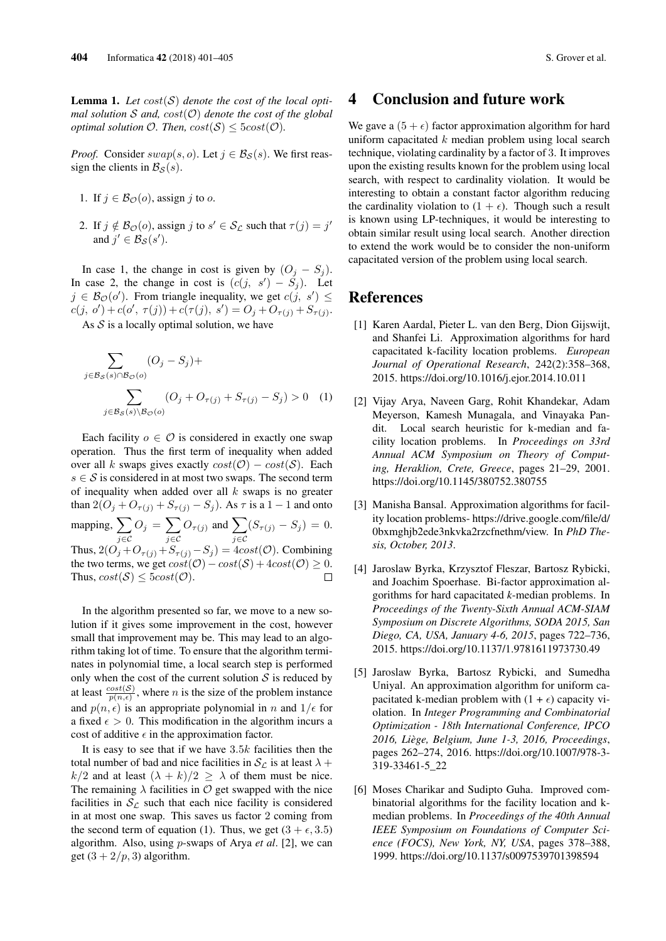**Lemma 1.** Let  $cost(S)$  denote the cost of the local opti*mal solution* S *and,* cost(O) *denote the cost of the global optimal solution*  $\mathcal{O}$ *. Then,*  $cost(\mathcal{S}) \leq 5cost(\mathcal{O})$ *.* 

*Proof.* Consider  $swap(s, o)$ . Let  $j \in \mathcal{B}_{S}(s)$ . We first reassign the clients in  $\mathcal{B}_{\mathcal{S}}(s)$ .

- 1. If  $j \in \mathcal{B}_{\mathcal{O}}(o)$ , assign j to o.
- 2. If  $j \notin \mathcal{B}_{\mathcal{O}}(o)$ , assign  $j$  to  $s' \in \mathcal{S}_{\mathcal{L}}$  such that  $\tau(j) = j'$ and  $j' \in \mathcal{B}_{\mathcal{S}}(s')$ .

In case 1, the change in cost is given by  $(O_i - S_j)$ . In case 2, the change in cost is  $(c(j, s') - \tilde{S}_j)$ . Let  $j \in \mathcal{B}_{\mathcal{O}}(o')$ . From triangle inequality, we get  $c(j, s') \leq$  $c(j, o') + c(o', \tau(j)) + c(\tau(j), s') = O_j + O_{\tau(j)} + S_{\tau(j)}.$ 

As  $S$  is a locally optimal solution, we have

$$
\sum_{j \in \mathcal{B}_{\mathcal{S}}(s) \cap \mathcal{B}_{\mathcal{O}}(o)} (O_j - S_j) +
$$
\n
$$
\sum_{j \in \mathcal{B}_{\mathcal{S}}(s) \setminus \mathcal{B}_{\mathcal{O}}(o)} (O_j + O_{\tau(j)} + S_{\tau(j)} - S_j) > 0 \quad (1)
$$

Each facility  $o \in \mathcal{O}$  is considered in exactly one swap operation. Thus the first term of inequality when added over all k swaps gives exactly  $cost(\mathcal{O}) - cost(\mathcal{S})$ . Each  $s \in S$  is considered in at most two swaps. The second term of inequality when added over all  $k$  swaps is no greater than  $2(O_j + O_{\tau(j)} + S_{\tau(j)} - S_j)$ . As  $\tau$  is a  $1 - 1$  and onto mapping,  $\sum$  $O_j = \sum$  $O_{\tau(j)}$  and  $\sum$  $(S_{\tau(j)} - S_j) = 0.$ j∈C j∈C j∈C Thus,  $2(O_j + O_{\tau(j)} + S_{\tau(j)} - S_j) = 4cost(\mathcal{O})$ . Combining the two terms, we get  $cost(\mathcal{O}) - cost(\mathcal{S}) + 4cost(\mathcal{O}) \geq 0$ . Thus,  $cost(\mathcal{S}) \leq 5cost(\mathcal{O})$ .  $\Box$ 

In the algorithm presented so far, we move to a new solution if it gives some improvement in the cost, however small that improvement may be. This may lead to an algorithm taking lot of time. To ensure that the algorithm terminates in polynomial time, a local search step is performed only when the cost of the current solution  $S$  is reduced by at least  $\frac{cost(S)}{p(n,\epsilon)}$ , where *n* is the size of the problem instance and  $p(n, \epsilon)$  is an appropriate polynomial in n and  $1/\epsilon$  for a fixed  $\epsilon > 0$ . This modification in the algorithm incurs a cost of additive  $\epsilon$  in the approximation factor.

It is easy to see that if we have  $3.5k$  facilities then the total number of bad and nice facilities in  $S_{\mathcal{L}}$  is at least  $\lambda +$  $k/2$  and at least  $(\lambda + k)/2 \ge \lambda$  of them must be nice. The remaining  $\lambda$  facilities in  $\mathcal O$  get swapped with the nice facilities in  $S_{\ell}$  such that each nice facility is considered in at most one swap. This saves us factor 2 coming from the second term of equation (1). Thus, we get  $(3 + \epsilon, 3.5)$ algorithm. Also, using p-swaps of Arya *et al*. [2], we can get  $(3 + 2/p, 3)$  algorithm.

## 4 Conclusion and future work

We gave a  $(5 + \epsilon)$  factor approximation algorithm for hard uniform capacitated  $k$  median problem using local search technique, violating cardinality by a factor of 3. It improves upon the existing results known for the problem using local search, with respect to cardinality violation. It would be interesting to obtain a constant factor algorithm reducing the cardinality violation to  $(1 + \epsilon)$ . Though such a result is known using LP-techniques, it would be interesting to obtain similar result using local search. Another direction to extend the work would be to consider the non-uniform capacitated version of the problem using local search.

## References

- [1] Karen Aardal, Pieter L. van den Berg, Dion Gijswijt, and Shanfei Li. Approximation algorithms for hard capacitated k-facility location problems. *European Journal of Operational Research*, 242(2):358–368, 2015. https://doi.org/10.1016/j.ejor.2014.10.011
- [2] Vijay Arya, Naveen Garg, Rohit Khandekar, Adam Meyerson, Kamesh Munagala, and Vinayaka Pandit. Local search heuristic for k-median and facility location problems. In *Proceedings on 33rd Annual ACM Symposium on Theory of Computing, Heraklion, Crete, Greece*, pages 21–29, 2001. https://doi.org/10.1145/380752.380755
- [3] Manisha Bansal. Approximation algorithms for facility location problems- https://drive.google.com/file/d/ 0bxmghjb2ede3nkvka2rzcfnethm/view. In *PhD Thesis, October, 2013*.
- [4] Jaroslaw Byrka, Krzysztof Fleszar, Bartosz Rybicki, and Joachim Spoerhase. Bi-factor approximation algorithms for hard capacitated *k*-median problems. In *Proceedings of the Twenty-Sixth Annual ACM-SIAM Symposium on Discrete Algorithms, SODA 2015, San Diego, CA, USA, January 4-6, 2015*, pages 722–736, 2015. https://doi.org/10.1137/1.9781611973730.49
- [5] Jaroslaw Byrka, Bartosz Rybicki, and Sumedha Uniyal. An approximation algorithm for uniform capacitated k-median problem with  $(1 + \epsilon)$  capacity violation. In *Integer Programming and Combinatorial Optimization - 18th International Conference, IPCO 2016, Liège, Belgium, June 1-3, 2016, Proceedings*, pages 262–274, 2016. https://doi.org/10.1007/978-3- 319-33461-5\_22
- [6] Moses Charikar and Sudipto Guha. Improved combinatorial algorithms for the facility location and kmedian problems. In *Proceedings of the 40th Annual IEEE Symposium on Foundations of Computer Science (FOCS), New York, NY, USA*, pages 378–388, 1999. https://doi.org/10.1137/s0097539701398594